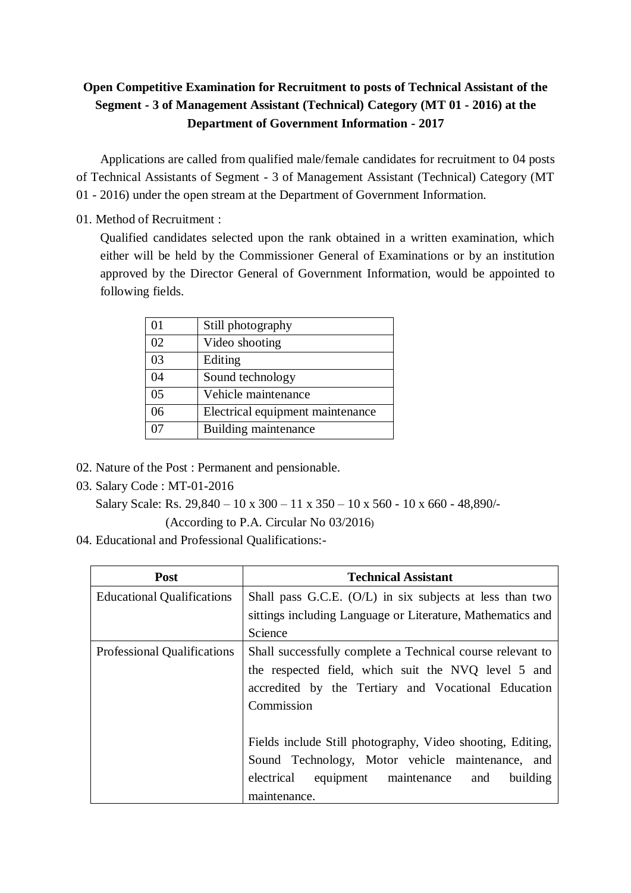# **Open Competitive Examination for Recruitment to posts of Technical Assistant of the Segment - 3 of Management Assistant (Technical) Category (MT 01 - 2016) at the Department of Government Information - 2017**

Applications are called from qualified male/female candidates for recruitment to 04 posts of Technical Assistants of Segment - 3 of Management Assistant (Technical) Category (MT 01 - 2016) under the open stream at the Department of Government Information.

01. Method of Recruitment :

Qualified candidates selected upon the rank obtained in a written examination, which either will be held by the Commissioner General of Examinations or by an institution approved by the Director General of Government Information, would be appointed to following fields.

| 01             | Still photography                |
|----------------|----------------------------------|
| 02             | Video shooting                   |
| 03             | Editing                          |
| 04             | Sound technology                 |
| 0 <sub>5</sub> | Vehicle maintenance              |
| 06             | Electrical equipment maintenance |
|                | Building maintenance             |

- 02. Nature of the Post : Permanent and pensionable.
- 03. Salary Code : MT-01-2016

```
 Salary Scale: Rs. 29,840 – 10 x 300 – 11 x 350 – 10 x 560 - 10 x 660 - 48,890/-
```
(According to P.A. Circular No 03/2016)

04. Educational and Professional Qualifications:-

| Post                              | <b>Technical Assistant</b>                                 |  |  |
|-----------------------------------|------------------------------------------------------------|--|--|
| <b>Educational Qualifications</b> | Shall pass G.C.E. $(O/L)$ in six subjects at less than two |  |  |
|                                   | sittings including Language or Literature, Mathematics and |  |  |
|                                   | Science                                                    |  |  |
| Professional Qualifications       | Shall successfully complete a Technical course relevant to |  |  |
|                                   | the respected field, which suit the NVQ level 5 and        |  |  |
|                                   | accredited by the Tertiary and Vocational Education        |  |  |
|                                   | Commission                                                 |  |  |
|                                   |                                                            |  |  |
|                                   | Fields include Still photography, Video shooting, Editing, |  |  |
|                                   | Sound Technology, Motor vehicle maintenance, and           |  |  |
|                                   | electrical equipment maintenance and<br>building           |  |  |
|                                   | maintenance.                                               |  |  |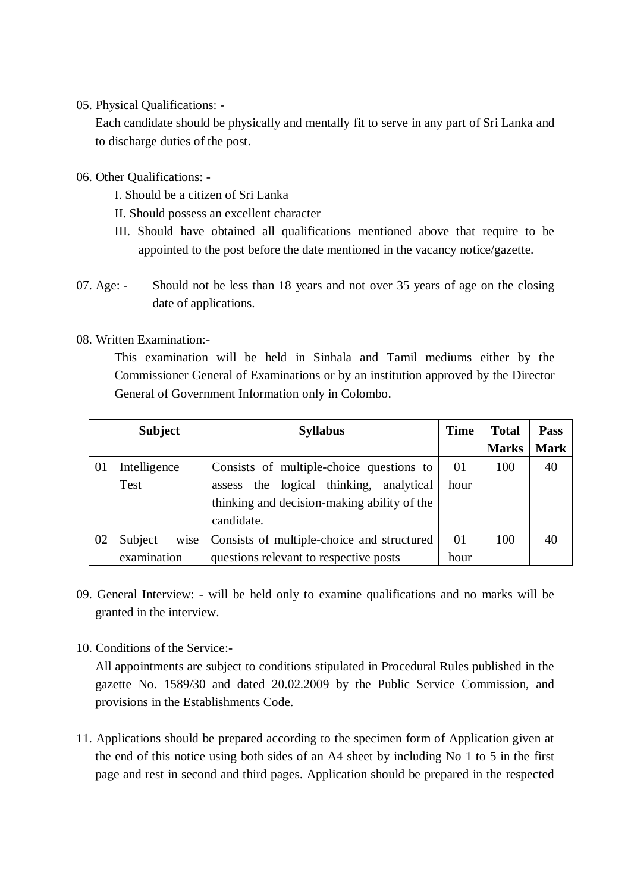### 05. Physical Qualifications: -

Each candidate should be physically and mentally fit to serve in any part of Sri Lanka and to discharge duties of the post.

06. Other Qualifications: -

- I. Should be a citizen of Sri Lanka
- II. Should possess an excellent character
- III. Should have obtained all qualifications mentioned above that require to be appointed to the post before the date mentioned in the vacancy notice/gazette.
- 07. Age: Should not be less than 18 years and not over 35 years of age on the closing date of applications.

#### 08. Written Examination:-

This examination will be held in Sinhala and Tamil mediums either by the Commissioner General of Examinations or by an institution approved by the Director General of Government Information only in Colombo.

|    | <b>Subject</b>  | <b>Syllabus</b>                             | <b>Time</b> | <b>Total</b> | <b>Pass</b> |
|----|-----------------|---------------------------------------------|-------------|--------------|-------------|
|    |                 |                                             |             | <b>Marks</b> | <b>Mark</b> |
| 01 | Intelligence    | Consists of multiple-choice questions to    | 01          | 100          | 40          |
|    | <b>Test</b>     | assess the logical thinking,<br>analytical  | hour        |              |             |
|    |                 | thinking and decision-making ability of the |             |              |             |
|    |                 | candidate.                                  |             |              |             |
| 02 | Subject<br>wise | Consists of multiple-choice and structured  | 01          | 100          | 40          |
|    | examination     | questions relevant to respective posts      | hour        |              |             |

- 09. General Interview: will be held only to examine qualifications and no marks will be granted in the interview.
- 10. Conditions of the Service:-

All appointments are subject to conditions stipulated in Procedural Rules published in the gazette No. 1589/30 and dated 20.02.2009 by the Public Service Commission, and provisions in the Establishments Code.

11. Applications should be prepared according to the specimen form of Application given at the end of this notice using both sides of an A4 sheet by including No 1 to 5 in the first page and rest in second and third pages. Application should be prepared in the respected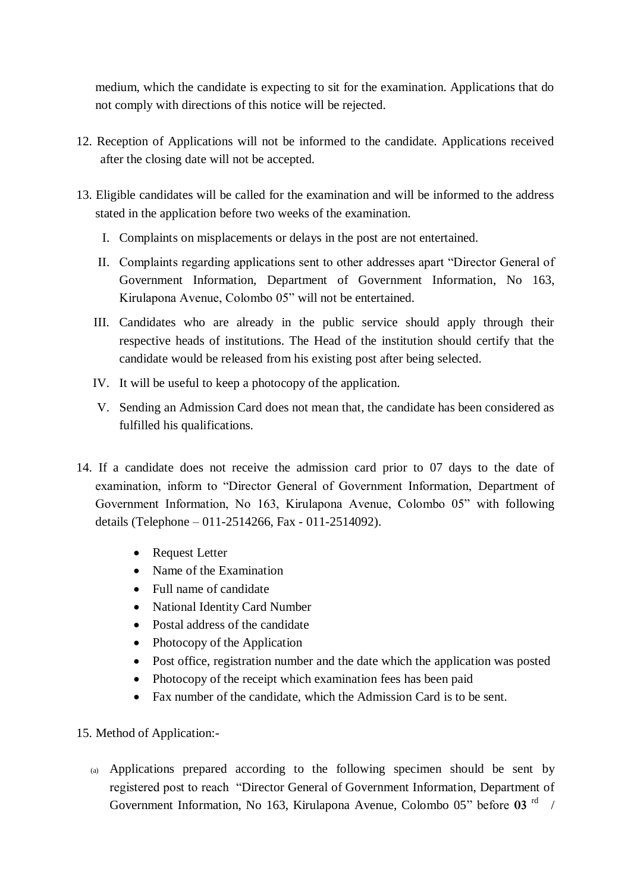medium, which the candidate is expecting to sit for the examination. Applications that do not comply with directions of this notice will be rejected.

- 12. Reception of Applications will not be informed to the candidate. Applications received after the closing date will not be accepted.
- 13. Eligible candidates will be called for the examination and will be informed to the address stated in the application before two weeks of the examination.
	- I. Complaints on misplacements or delays in the post are not entertained.
	- II. Complaints regarding applications sent to other addresses apart "Director General of Government Information, Department of Government Information, No 163, Kirulapona Avenue, Colombo 05" will not be entertained.
	- III. Candidates who are already in the public service should apply through their respective heads of institutions. The Head of the institution should certify that the candidate would be released from his existing post after being selected.
	- IV. It will be useful to keep a photocopy of the application.
	- V. Sending an Admission Card does not mean that, the candidate has been considered as fulfilled his qualifications.
- 14. If a candidate does not receive the admission card prior to 07 days to the date of examination, inform to "Director General of Government Information, Department of Government Information, No 163, Kirulapona Avenue, Colombo 05" with following details (Telephone – 011-2514266, Fax - 011-2514092).
	- Request Letter
	- Name of the Examination
	- Full name of candidate
	- National Identity Card Number
	- Postal address of the candidate
	- Photocopy of the Application
	- Post office, registration number and the date which the application was posted
	- Photocopy of the receipt which examination fees has been paid
	- Fax number of the candidate, which the Admission Card is to be sent.
- 15. Method of Application:-
	- (a) Applications prepared according to the following specimen should be sent by registered post to reach "Director General of Government Information, Department of Government Information, No 163, Kirulapona Avenue, Colombo 05" before 03<sup>rd</sup> /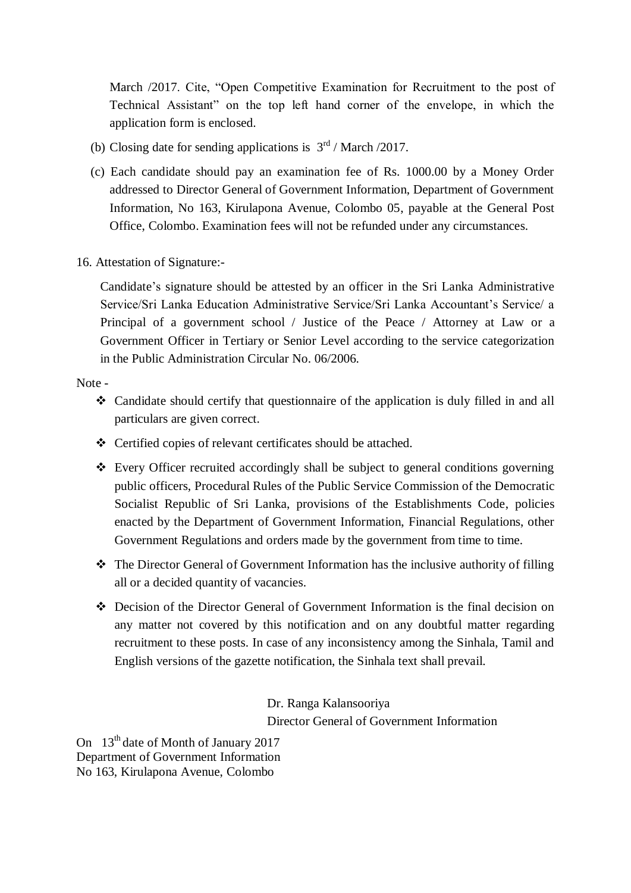March /2017. Cite, "Open Competitive Examination for Recruitment to the post of Technical Assistant" on the top left hand corner of the envelope, in which the application form is enclosed.

- (b) Closing date for sending applications is  $3<sup>rd</sup>$  / March /2017.
- (c) Each candidate should pay an examination fee of Rs. 1000.00 by a Money Order addressed to Director General of Government Information, Department of Government Information, No 163, Kirulapona Avenue, Colombo 05, payable at the General Post Office, Colombo. Examination fees will not be refunded under any circumstances.
- 16. Attestation of Signature:-

Candidate's signature should be attested by an officer in the Sri Lanka Administrative Service/Sri Lanka Education Administrative Service/Sri Lanka Accountant's Service/ a Principal of a government school / Justice of the Peace / Attorney at Law or a Government Officer in Tertiary or Senior Level according to the service categorization in the Public Administration Circular No. 06/2006.

Note -

- Candidate should certify that questionnaire of the application is duly filled in and all particulars are given correct.
- Certified copies of relevant certificates should be attached.
- Every Officer recruited accordingly shall be subject to general conditions governing public officers, Procedural Rules of the Public Service Commission of the Democratic Socialist Republic of Sri Lanka, provisions of the Establishments Code, policies enacted by the Department of Government Information, Financial Regulations, other Government Regulations and orders made by the government from time to time.
- $\div$  The Director General of Government Information has the inclusive authority of filling all or a decided quantity of vacancies.
- Decision of the Director General of Government Information is the final decision on any matter not covered by this notification and on any doubtful matter regarding recruitment to these posts. In case of any inconsistency among the Sinhala, Tamil and English versions of the gazette notification, the Sinhala text shall prevail.

Dr. Ranga Kalansooriya Director General of Government Information

On 13<sup>th</sup> date of Month of January 2017 Department of Government Information No 163, Kirulapona Avenue, Colombo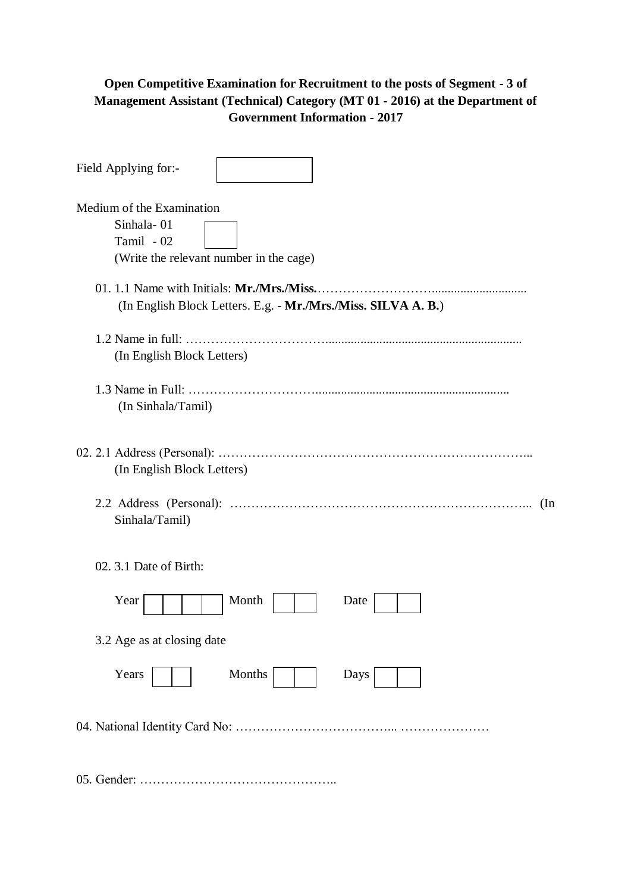## **Open Competitive Examination for Recruitment to the posts of Segment - 3 of Management Assistant (Technical) Category (MT 01 - 2016) at the Department of Government Information - 2017**

| Field Applying for:-                                                                                        |
|-------------------------------------------------------------------------------------------------------------|
| Medium of the Examination<br>Sinhala-01<br>Tamil - 02<br>(Write the relevant number in the cage)            |
| 01. 1.1 Name with Initials: Mr./Mrs./Miss.<br>(In English Block Letters. E.g. - Mr./Mrs./Miss. SILVA A. B.) |
| (In English Block Letters)                                                                                  |
| (In Sinhala/Tamil)                                                                                          |
| (In English Block Letters)                                                                                  |
| $(\ln$<br>Sinhala/Tamil)                                                                                    |
| 02. 3.1 Date of Birth:                                                                                      |
| Month<br>Year<br>Date                                                                                       |
| 3.2 Age as at closing date                                                                                  |
| Years<br>Months<br>Days                                                                                     |
|                                                                                                             |
|                                                                                                             |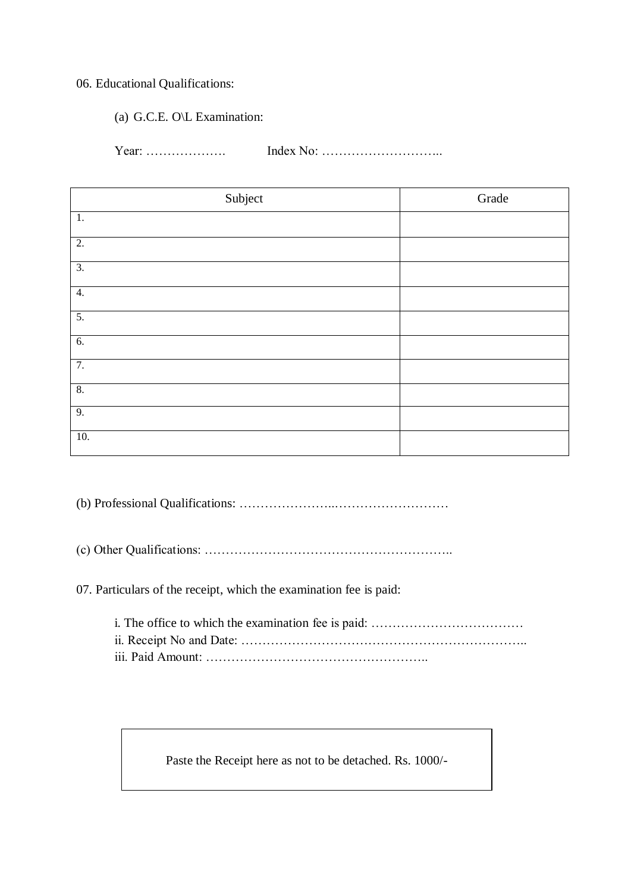### 06. Educational Qualifications:

(a) G.C.E. O\L Examination:

Year: ………………. Index No: ………………………..

| Subject          | Grade |
|------------------|-------|
| 1.               |       |
| $\overline{2}$ . |       |
| $\overline{3}$ . |       |
| 4.               |       |
| $\overline{5}$ . |       |
| 6.               |       |
| 7.               |       |
| 8.               |       |
| 9.               |       |
| 10.              |       |

(b) Professional Qualifications: …………………..………………………

(c) Other Qualifications: …………………………………………………..

07. Particulars of the receipt, which the examination fee is paid:

Paste the Receipt here as not to be detached. Rs. 1000/-